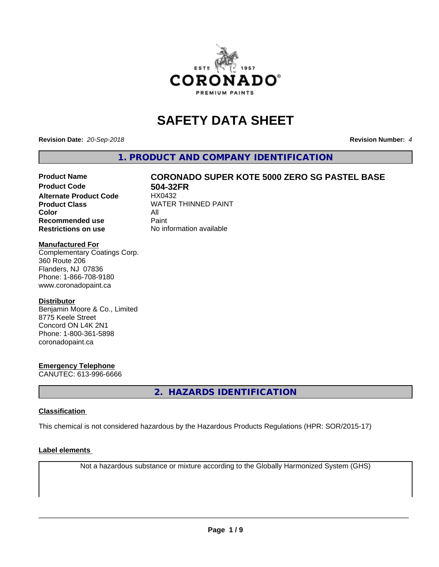

# **SAFETY DATA SHEET**

**Revision Date:** *20-Sep-2018* **Revision Number:** *4*

**1. PRODUCT AND COMPANY IDENTIFICATION**

# Product Name **CORONADO SUPER KOTE 5000 ZERO SG PASTEL BASE**<br>Product Code 604-32FR

**Alternate Product Code Color** All<br> **Recommended use** Paint **Recommended use Restrictions on use** No information available

**504-32FR**<br>HX0432 **Product Class WATER THINNED PAINT** 

#### **Manufactured For**

Complementary Coatings Corp. 360 Route 206 Flanders, NJ 07836 Phone: 1-866-708-9180 www.coronadopaint.ca

#### **Distributor**

Benjamin Moore & Co., Limited 8775 Keele Street Concord ON L4K 2N1 Phone: 1-800-361-5898 coronadopaint.ca

#### **Emergency Telephone**

CANUTEC: 613-996-6666

**2. HAZARDS IDENTIFICATION**

#### **Classification**

This chemical is not considered hazardous by the Hazardous Products Regulations (HPR: SOR/2015-17)

#### **Label elements**

Not a hazardous substance or mixture according to the Globally Harmonized System (GHS)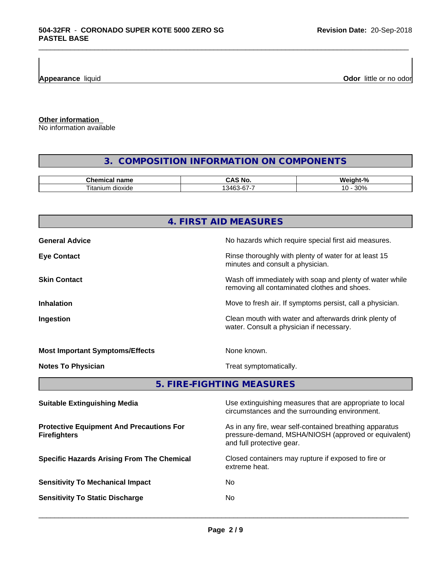**Appearance** liquid **Odor 11** and **Odor 11** and **Odor 11** and **Odor 11** and **Odor 11** and **Odor Odor** 11 and **Odor** 11 and **Odor** 11 and **Odor** 11 and **Odor** 11 and **Odor** 11 and 21 and 21 and 21 and 21 and 22 and 22 and

**Other information**

No information available

# **3. COMPOSITION INFORMATION ON COMPONENTS**

\_\_\_\_\_\_\_\_\_\_\_\_\_\_\_\_\_\_\_\_\_\_\_\_\_\_\_\_\_\_\_\_\_\_\_\_\_\_\_\_\_\_\_\_\_\_\_\_\_\_\_\_\_\_\_\_\_\_\_\_\_\_\_\_\_\_\_\_\_\_\_\_\_\_\_\_\_\_\_\_\_\_\_\_\_\_\_\_\_\_\_\_\_

| name<br>٦Æ.<br>янкан    | n<br>N6<br>.    | £<br>. .<br>w.<br>$\sqrt{2}$    |
|-------------------------|-----------------|---------------------------------|
| dioxide<br>ıtan<br>ilim | 376<br>$-6 - 6$ | 0.00<br>יי<br>.<br><b>JU 70</b> |

|                                                                        | 4. FIRST AID MEASURES                                                                                                                        |  |
|------------------------------------------------------------------------|----------------------------------------------------------------------------------------------------------------------------------------------|--|
| <b>General Advice</b>                                                  | No hazards which require special first aid measures.                                                                                         |  |
| <b>Eye Contact</b>                                                     | Rinse thoroughly with plenty of water for at least 15<br>minutes and consult a physician.                                                    |  |
| <b>Skin Contact</b>                                                    | Wash off immediately with soap and plenty of water while<br>removing all contaminated clothes and shoes.                                     |  |
| <b>Inhalation</b>                                                      | Move to fresh air. If symptoms persist, call a physician.                                                                                    |  |
| Ingestion                                                              | Clean mouth with water and afterwards drink plenty of<br>water. Consult a physician if necessary.                                            |  |
| <b>Most Important Symptoms/Effects</b>                                 | None known.                                                                                                                                  |  |
| <b>Notes To Physician</b>                                              | Treat symptomatically.                                                                                                                       |  |
|                                                                        | 5. FIRE-FIGHTING MEASURES                                                                                                                    |  |
| <b>Suitable Extinguishing Media</b>                                    | Use extinguishing measures that are appropriate to local<br>circumstances and the surrounding environment.                                   |  |
| <b>Protective Equipment And Precautions For</b><br><b>Firefighters</b> | As in any fire, wear self-contained breathing apparatus<br>pressure-demand, MSHA/NIOSH (approved or equivalent)<br>and full protective gear. |  |
| <b>Specific Hazards Arising From The Chemical</b>                      | Closed containers may rupture if exposed to fire or                                                                                          |  |

extreme heat.

**Sensitivity To Mechanical Impact** No

- 
- **Sensitivity To Static Discharge** No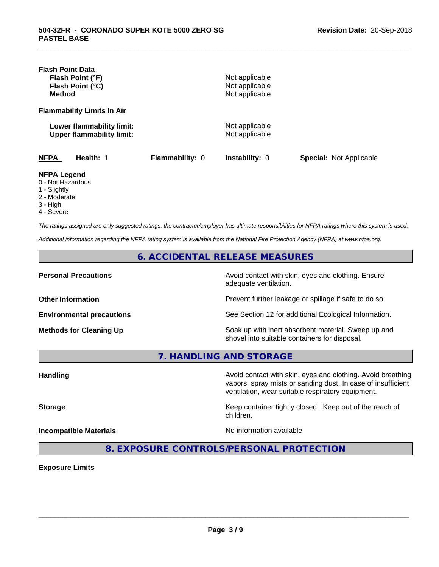| <b>Flash Point Data</b><br>Flash Point (°F)<br>Flash Point (°C)<br><b>Method</b> |                 | Not applicable<br>Not applicable<br>Not applicable |                                |
|----------------------------------------------------------------------------------|-----------------|----------------------------------------------------|--------------------------------|
| <b>Flammability Limits In Air</b>                                                |                 |                                                    |                                |
| Lower flammability limit:<br><b>Upper flammability limit:</b>                    |                 | Not applicable<br>Not applicable                   |                                |
| <b>NFPA</b><br>Health: 1                                                         | Flammability: 0 | Instability: 0                                     | <b>Special: Not Applicable</b> |
| <b>NFPA Legend</b><br>0 - Not Hazardous<br>1 - Slightly<br>2 - Moderate          |                 |                                                    |                                |

\_\_\_\_\_\_\_\_\_\_\_\_\_\_\_\_\_\_\_\_\_\_\_\_\_\_\_\_\_\_\_\_\_\_\_\_\_\_\_\_\_\_\_\_\_\_\_\_\_\_\_\_\_\_\_\_\_\_\_\_\_\_\_\_\_\_\_\_\_\_\_\_\_\_\_\_\_\_\_\_\_\_\_\_\_\_\_\_\_\_\_\_\_

- 
- 3 High
- 4 Severe

*The ratings assigned are only suggested ratings, the contractor/employer has ultimate responsibilities for NFPA ratings where this system is used.*

*Additional information regarding the NFPA rating system is available from the National Fire Protection Agency (NFPA) at www.nfpa.org.*

**6. ACCIDENTAL RELEASE MEASURES**

**Personal Precautions Precautions** Avoid contact with skin, eyes and clothing. Ensure adequate ventilation.

**Other Information Other Information Prevent further leakage or spillage if safe to do so.** 

**Environmental precautions** See Section 12 for additional Ecological Information.

**Methods for Cleaning Up Soak up with inert absorbent material. Sweep up and** shovel into suitable containers for disposal.

vapors, spray mists or sanding dust. In case of insufficient

ventilation, wear suitable respiratory equipment.

**7. HANDLING AND STORAGE**

Handling **Handling Avoid contact with skin, eyes and clothing. Avoid breathing Handling** 

**Storage Keep container tightly closed. Keep out of the reach of Keep** container tightly closed. Keep out of the reach of

**Incompatible Materials No information available** 

 $\overline{\phantom{a}}$  ,  $\overline{\phantom{a}}$  ,  $\overline{\phantom{a}}$  ,  $\overline{\phantom{a}}$  ,  $\overline{\phantom{a}}$  ,  $\overline{\phantom{a}}$  ,  $\overline{\phantom{a}}$  ,  $\overline{\phantom{a}}$  ,  $\overline{\phantom{a}}$  ,  $\overline{\phantom{a}}$  ,  $\overline{\phantom{a}}$  ,  $\overline{\phantom{a}}$  ,  $\overline{\phantom{a}}$  ,  $\overline{\phantom{a}}$  ,  $\overline{\phantom{a}}$  ,  $\overline{\phantom{a}}$ 

**8. EXPOSURE CONTROLS/PERSONAL PROTECTION**

children.

**Exposure Limits**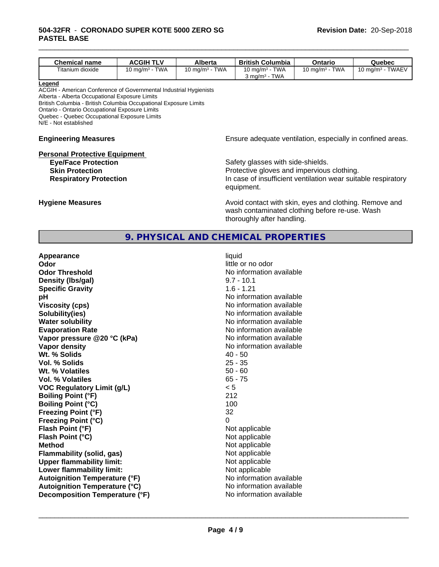| <b>Chemical name</b>                                                                                                                                                                                                                                                                                                         | <b>ACGIH TLV</b>  | Alberta           | <b>British Columbia</b>                                                                                                                                        | Ontario           | Quebec              |
|------------------------------------------------------------------------------------------------------------------------------------------------------------------------------------------------------------------------------------------------------------------------------------------------------------------------------|-------------------|-------------------|----------------------------------------------------------------------------------------------------------------------------------------------------------------|-------------------|---------------------|
| Titanium dioxide                                                                                                                                                                                                                                                                                                             | 10 mg/m $3$ - TWA | 10 mg/m $3 - TWA$ | 10 mg/m $3$ - TWA                                                                                                                                              | 10 mg/m $3$ - TWA | 10 mg/m $3$ - TWAEV |
|                                                                                                                                                                                                                                                                                                                              |                   |                   | $3$ mg/m <sup>3</sup> - TWA                                                                                                                                    |                   |                     |
| Legend<br>ACGIH - American Conference of Governmental Industrial Hygienists<br>Alberta - Alberta Occupational Exposure Limits<br>British Columbia - British Columbia Occupational Exposure Limits<br>Ontario - Ontario Occupational Exposure Limits<br>Quebec - Quebec Occupational Exposure Limits<br>N/E - Not established |                   |                   |                                                                                                                                                                |                   |                     |
| <b>Engineering Measures</b>                                                                                                                                                                                                                                                                                                  |                   |                   | Ensure adequate ventilation, especially in confined areas.                                                                                                     |                   |                     |
| <b>Personal Protective Equipment</b><br><b>Eye/Face Protection</b><br><b>Skin Protection</b><br><b>Respiratory Protection</b>                                                                                                                                                                                                |                   |                   | Safety glasses with side-shields.<br>Protective gloves and impervious clothing.<br>In case of insufficient ventilation wear suitable respiratory<br>equipment. |                   |                     |

\_\_\_\_\_\_\_\_\_\_\_\_\_\_\_\_\_\_\_\_\_\_\_\_\_\_\_\_\_\_\_\_\_\_\_\_\_\_\_\_\_\_\_\_\_\_\_\_\_\_\_\_\_\_\_\_\_\_\_\_\_\_\_\_\_\_\_\_\_\_\_\_\_\_\_\_\_\_\_\_\_\_\_\_\_\_\_\_\_\_\_\_\_

**Hygiene Measures Avoid contact with skin, eyes and clothing. Remove and Avoid contact with skin, eyes and clothing. Remove and** wash contaminated clothing before re-use. Wash thoroughly after handling.

## **9. PHYSICAL AND CHEMICAL PROPERTIES**

| Appearance                           | liquid                   |
|--------------------------------------|--------------------------|
| Odor                                 | little or no odor        |
| <b>Odor Threshold</b>                | No information available |
| Density (Ibs/gal)                    | $9.7 - 10.1$             |
| <b>Specific Gravity</b>              | $1.6 - 1.21$             |
| рH                                   | No information available |
| <b>Viscosity (cps)</b>               | No information available |
| Solubility(ies)                      | No information available |
| <b>Water solubility</b>              | No information available |
| <b>Evaporation Rate</b>              | No information available |
| Vapor pressure @20 °C (kPa)          | No information available |
| Vapor density                        | No information available |
| Wt. % Solids                         | $40 - 50$                |
| Vol. % Solids                        | $25 - 35$                |
| Wt. % Volatiles                      | $50 - 60$                |
| <b>Vol. % Volatiles</b>              | $65 - 75$                |
| <b>VOC Regulatory Limit (g/L)</b>    | < 5                      |
| <b>Boiling Point (°F)</b>            | 212                      |
| Boiling Point (°C)                   | 100                      |
| Freezing Point (°F)                  | 32                       |
| Freezing Point (°C)                  | $\Omega$                 |
| Flash Point (°F)                     | Not applicable           |
| Flash Point (°C)                     | Not applicable           |
| <b>Method</b>                        | Not applicable           |
| Flammability (solid, gas)            | Not applicable           |
| <b>Upper flammability limit:</b>     | Not applicable           |
| Lower flammability limit:            | Not applicable           |
| <b>Autoignition Temperature (°F)</b> | No information available |
| <b>Autoignition Temperature (°C)</b> | No information available |
| Decomposition Temperature (°F)       | No information available |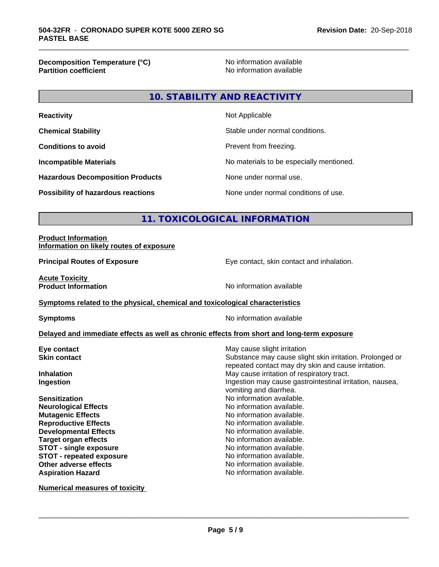**Decomposition Temperature (°C)**<br> **Partition coefficient**<br> **Partition coefficient**<br> **No** information available

**No information available** 

\_\_\_\_\_\_\_\_\_\_\_\_\_\_\_\_\_\_\_\_\_\_\_\_\_\_\_\_\_\_\_\_\_\_\_\_\_\_\_\_\_\_\_\_\_\_\_\_\_\_\_\_\_\_\_\_\_\_\_\_\_\_\_\_\_\_\_\_\_\_\_\_\_\_\_\_\_\_\_\_\_\_\_\_\_\_\_\_\_\_\_\_\_

# **10. STABILITY AND REACTIVITY**

| <b>Reactivity</b>                         | Not Applicable                           |
|-------------------------------------------|------------------------------------------|
| <b>Chemical Stability</b>                 | Stable under normal conditions.          |
| <b>Conditions to avoid</b>                | Prevent from freezing.                   |
| <b>Incompatible Materials</b>             | No materials to be especially mentioned. |
| <b>Hazardous Decomposition Products</b>   | None under normal use.                   |
| <b>Possibility of hazardous reactions</b> | None under normal conditions of use.     |

# **11. TOXICOLOGICAL INFORMATION**

#### **Product Information Information on likely routes of exposure**

**Principal Routes of Exposure** Eye contact, skin contact and inhalation.

**Acute Toxicity<br>Product Information** 

**No information available** 

#### **Symptoms related to the physical,chemical and toxicological characteristics**

**Symptoms** No information available

#### **Delayed and immediate effects as well as chronic effects from short and long-term exposure**

| Eye contact                     | May cause slight irritation                                                                                     |
|---------------------------------|-----------------------------------------------------------------------------------------------------------------|
| <b>Skin contact</b>             | Substance may cause slight skin irritation. Prolonged or<br>repeated contact may dry skin and cause irritation. |
| <b>Inhalation</b>               | May cause irritation of respiratory tract.                                                                      |
| Ingestion                       | Ingestion may cause gastrointestinal irritation, nausea,<br>vomiting and diarrhea.                              |
| <b>Sensitization</b>            | No information available.                                                                                       |
| <b>Neurological Effects</b>     | No information available.                                                                                       |
| <b>Mutagenic Effects</b>        | No information available.                                                                                       |
| <b>Reproductive Effects</b>     | No information available.                                                                                       |
| <b>Developmental Effects</b>    | No information available.                                                                                       |
| <b>Target organ effects</b>     | No information available.                                                                                       |
| <b>STOT - single exposure</b>   | No information available.                                                                                       |
| <b>STOT - repeated exposure</b> | No information available.                                                                                       |
| Other adverse effects           | No information available.                                                                                       |
| <b>Aspiration Hazard</b>        | No information available.                                                                                       |
|                                 |                                                                                                                 |

**Numerical measures of toxicity**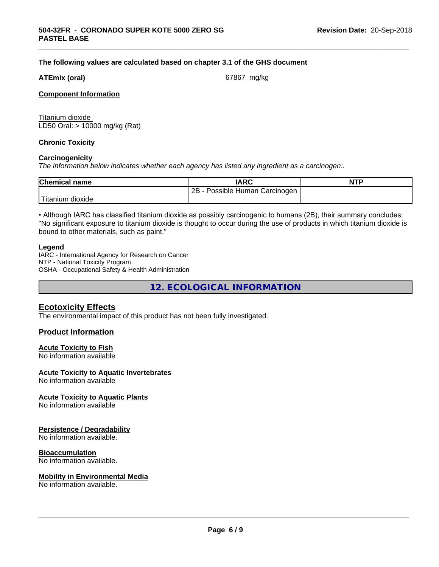#### **The following values are calculated based on chapter 3.1 of the GHS document**

#### **ATEmix (oral)** 67867 mg/kg

\_\_\_\_\_\_\_\_\_\_\_\_\_\_\_\_\_\_\_\_\_\_\_\_\_\_\_\_\_\_\_\_\_\_\_\_\_\_\_\_\_\_\_\_\_\_\_\_\_\_\_\_\_\_\_\_\_\_\_\_\_\_\_\_\_\_\_\_\_\_\_\_\_\_\_\_\_\_\_\_\_\_\_\_\_\_\_\_\_\_\_\_\_

#### **Component Information**

Titanium dioxide LD50 Oral: > 10000 mg/kg (Rat)

#### **Chronic Toxicity**

#### **Carcinogenicity**

*The information below indicateswhether each agency has listed any ingredient as a carcinogen:.*

| <b>Chemical name</b> | <b>IARC</b>                           | <b>NTP</b> |
|----------------------|---------------------------------------|------------|
|                      | 2B<br>Human<br>Carcinogen<br>Possible |            |
| Titanium<br>dioxide  |                                       |            |

• Although IARC has classified titanium dioxide as possibly carcinogenic to humans (2B), their summary concludes: "No significant exposure to titanium dioxide is thought to occur during the use of products in which titanium dioxide is bound to other materials, such as paint."

#### **Legend**

IARC - International Agency for Research on Cancer NTP - National Toxicity Program OSHA - Occupational Safety & Health Administration

**12. ECOLOGICAL INFORMATION**

#### **Ecotoxicity Effects**

The environmental impact of this product has not been fully investigated.

#### **Product Information**

## **Acute Toxicity to Fish**

No information available

#### **Acute Toxicity to Aquatic Invertebrates**

No information available

#### **Acute Toxicity to Aquatic Plants**

No information available

#### **Persistence / Degradability**

No information available.

#### **Bioaccumulation**

No information available.

#### **Mobility in Environmental Media**

No information available.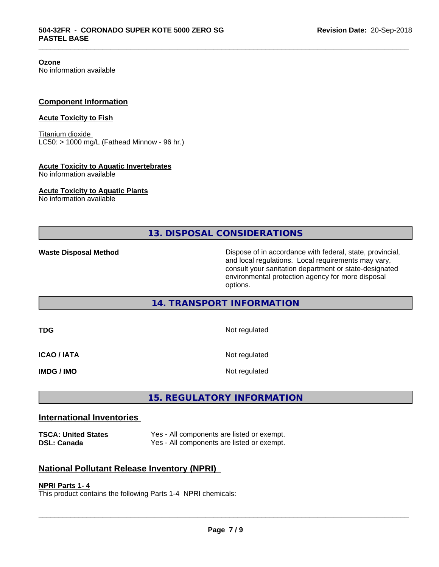**Ozone**

No information available

#### **Component Information**

#### **Acute Toxicity to Fish**

Titanium dioxide  $LC50:$  > 1000 mg/L (Fathead Minnow - 96 hr.)

#### **Acute Toxicity to Aquatic Invertebrates**

No information available

#### **Acute Toxicity to Aquatic Plants**

No information available

**13. DISPOSAL CONSIDERATIONS**

\_\_\_\_\_\_\_\_\_\_\_\_\_\_\_\_\_\_\_\_\_\_\_\_\_\_\_\_\_\_\_\_\_\_\_\_\_\_\_\_\_\_\_\_\_\_\_\_\_\_\_\_\_\_\_\_\_\_\_\_\_\_\_\_\_\_\_\_\_\_\_\_\_\_\_\_\_\_\_\_\_\_\_\_\_\_\_\_\_\_\_\_\_

**Waste Disposal Method Dispose of in accordance with federal, state, provincial,** and local regulations. Local requirements may vary, consult your sanitation department or state-designated environmental protection agency for more disposal options.

#### **14. TRANSPORT INFORMATION**

| TDG                | Not regulated |
|--------------------|---------------|
| <b>ICAO / IATA</b> | Not regulated |
| <b>IMDG / IMO</b>  | Not regulated |

# **15. REGULATORY INFORMATION**

### **International Inventories**

**TSCA: United States** Yes - All components are listed or exempt. **DSL: Canada** Yes - All components are listed or exempt.

### **National Pollutant Release Inventory (NPRI)**

#### **NPRI Parts 1- 4**

This product contains the following Parts 1-4 NPRI chemicals: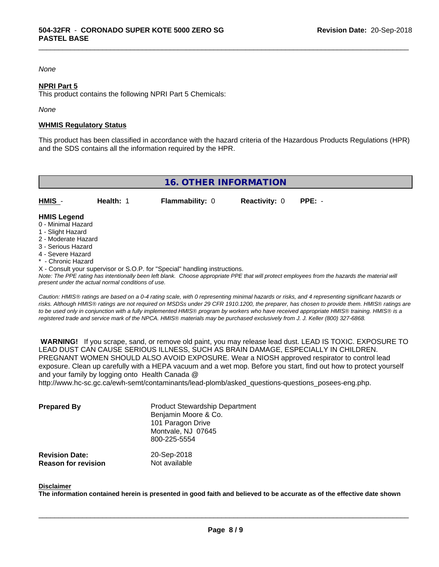#### *None*

#### **NPRI Part 5**

This product contains the following NPRI Part 5 Chemicals:

#### *None*

#### **WHMIS Regulatory Status**

This product has been classified in accordance with the hazard criteria of the Hazardous Products Regulations (HPR) and the SDS contains all the information required by the HPR.

\_\_\_\_\_\_\_\_\_\_\_\_\_\_\_\_\_\_\_\_\_\_\_\_\_\_\_\_\_\_\_\_\_\_\_\_\_\_\_\_\_\_\_\_\_\_\_\_\_\_\_\_\_\_\_\_\_\_\_\_\_\_\_\_\_\_\_\_\_\_\_\_\_\_\_\_\_\_\_\_\_\_\_\_\_\_\_\_\_\_\_\_\_

| 16. OTHER INFORMATION                    |           |                        |                             |  |  |
|------------------------------------------|-----------|------------------------|-----------------------------|--|--|
| <b>HMIS</b> -                            | Health: 1 | <b>Flammability: 0</b> | <b>Reactivity: 0 PPE: -</b> |  |  |
| <b>HMIS Legend</b><br>0 - Minimal Hazard |           |                        |                             |  |  |

- 0 Minimal Hazard
- 1 Slight Hazard
- 2 Moderate Hazard
- 3 Serious Hazard
- 4 Severe Hazard
- \* Chronic Hazard
- X Consult your supervisor or S.O.P. for "Special" handling instructions.

*Note: The PPE rating has intentionally been left blank. Choose appropriate PPE that will protect employees from the hazards the material will present under the actual normal conditions of use.*

*Caution: HMISÒ ratings are based on a 0-4 rating scale, with 0 representing minimal hazards or risks, and 4 representing significant hazards or risks. Although HMISÒ ratings are not required on MSDSs under 29 CFR 1910.1200, the preparer, has chosen to provide them. HMISÒ ratings are to be used only in conjunction with a fully implemented HMISÒ program by workers who have received appropriate HMISÒ training. HMISÒ is a registered trade and service mark of the NPCA. HMISÒ materials may be purchased exclusively from J. J. Keller (800) 327-6868.*

 **WARNING!** If you scrape, sand, or remove old paint, you may release lead dust. LEAD IS TOXIC. EXPOSURE TO LEAD DUST CAN CAUSE SERIOUS ILLNESS, SUCH AS BRAIN DAMAGE, ESPECIALLY IN CHILDREN. PREGNANT WOMEN SHOULD ALSO AVOID EXPOSURE.Wear a NIOSH approved respirator to control lead exposure. Clean up carefully with a HEPA vacuum and a wet mop. Before you start, find out how to protect yourself and your family by logging onto Health Canada @

http://www.hc-sc.gc.ca/ewh-semt/contaminants/lead-plomb/asked\_questions-questions\_posees-eng.php.

| <b>Prepared By</b>                                  | <b>Product Stewardship Department</b><br>Benjamin Moore & Co.<br>101 Paragon Drive<br>Montvale, NJ 07645<br>800-225-5554 |  |
|-----------------------------------------------------|--------------------------------------------------------------------------------------------------------------------------|--|
| <b>Revision Date:</b><br><b>Reason for revision</b> | 20-Sep-2018<br>Not available                                                                                             |  |

#### **Disclaimer**

The information contained herein is presented in good faith and believed to be accurate as of the effective date shown